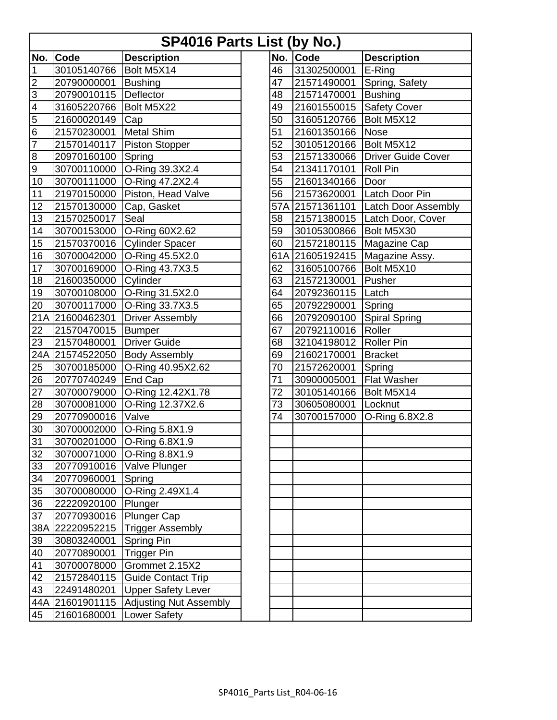| <b>SP4016 Parts List (by No.)</b> |                         |                                  |  |     |                 |                            |  |  |  |
|-----------------------------------|-------------------------|----------------------------------|--|-----|-----------------|----------------------------|--|--|--|
| No.                               | Code                    | <b>Description</b>               |  | No. | Code            | <b>Description</b>         |  |  |  |
| 1                                 | 30105140766             | Bolt M5X14                       |  | 46  | 31302500001     | E-Ring                     |  |  |  |
| $\overline{2}$                    | 20790000001             | <b>Bushing</b>                   |  | 47  | 21571490001     | Spring, Safety             |  |  |  |
| 3                                 | 20790010115             | Deflector                        |  | 48  | 21571470001     | <b>Bushing</b>             |  |  |  |
| 4                                 | 31605220766             | Bolt M5X22                       |  | 49  | 21601550015     | <b>Safety Cover</b>        |  |  |  |
| 5                                 | 21600020149             | Cap                              |  | 50  | 31605120766     | Bolt M5X12                 |  |  |  |
| 6                                 | 21570230001             | <b>Metal Shim</b>                |  | 51  | 21601350166     | <b>Nose</b>                |  |  |  |
| 7                                 | 21570140117             | Piston Stopper                   |  | 52  | 30105120166     | Bolt M5X12                 |  |  |  |
| 8                                 | 20970160100             | Spring                           |  | 53  | 21571330066     | <b>Driver Guide Cover</b>  |  |  |  |
| $\overline{9}$                    | 30700110000             | O-Ring 39.3X2.4                  |  | 54  | 21341170101     | Roll Pin                   |  |  |  |
| 10                                | 30700111000             | O-Ring 47.2X2.4                  |  | 55  | 21601340166     | Door                       |  |  |  |
| 11                                | 21970150000             | Piston, Head Valve               |  | 56  | 21573620001     | Latch Door Pin             |  |  |  |
| 12                                | 21570130000             | Cap, Gasket                      |  |     | 57A 21571361101 | <b>Latch Door Assembly</b> |  |  |  |
| 13                                | 21570250017             | Seal                             |  | 58  | 21571380015     | Latch Door, Cover          |  |  |  |
| 14                                | 30700153000             | O-Ring 60X2.62                   |  | 59  | 30105300866     | Bolt M5X30                 |  |  |  |
| 15                                | 21570370016             | <b>Cylinder Spacer</b>           |  | 60  | 21572180115     | Magazine Cap               |  |  |  |
| 16                                | 30700042000             | O-Ring 45.5X2.0                  |  |     | 61A 21605192415 | Magazine Assy.             |  |  |  |
| 17                                | 30700169000             | O-Ring 43.7X3.5                  |  | 62  | 31605100766     | Bolt M5X10                 |  |  |  |
| 18                                | 21600350000             | Cylinder                         |  | 63  | 21572130001     | Pusher                     |  |  |  |
| 19                                | 30700108000             | O-Ring 31.5X2.0                  |  | 64  | 20792360115     | Latch                      |  |  |  |
| 20                                | 30700117000             | O-Ring 33.7X3.5                  |  | 65  | 20792290001     | Spring                     |  |  |  |
|                                   | 21A 21600462301         | <b>Driver Assembly</b>           |  | 66  | 20792090100     | <b>Spiral Spring</b>       |  |  |  |
| 22                                | 21570470015             | <b>Bumper</b>                    |  | 67  | 20792110016     | Roller                     |  |  |  |
| 23                                | 21570480001             | <b>Driver Guide</b>              |  | 68  | 32104198012     | <b>Roller Pin</b>          |  |  |  |
|                                   | 24A 21574522050         | <b>Body Assembly</b>             |  | 69  | 21602170001     | <b>Bracket</b>             |  |  |  |
| 25                                | 30700185000             | O-Ring 40.95X2.62                |  | 70  | 21572620001     | Spring                     |  |  |  |
| 26                                | 20770740249             | End Cap                          |  | 71  | 30900005001     | <b>Flat Washer</b>         |  |  |  |
| 27                                | 30700079000             | O-Ring 12.42X1.78                |  | 72  | 30105140166     | Bolt M5X14                 |  |  |  |
| 28                                | 30700081000             | O-Ring 12.37X2.6                 |  | 73  | 30605080001     | Locknut                    |  |  |  |
| 29                                | 20770900016             | Valve                            |  | 74  | 30700157000     | O-Ring 6.8X2.8             |  |  |  |
| 30                                | 30700002000             | O-Ring 5.8X1.9                   |  |     |                 |                            |  |  |  |
| $\overline{31}$                   |                         | 30700201000 O-Ring 6.8X1.9       |  |     |                 |                            |  |  |  |
| 32                                |                         | 30700071000 O-Ring 8.8X1.9       |  |     |                 |                            |  |  |  |
| 33                                |                         | 20770910016   Valve Plunger      |  |     |                 |                            |  |  |  |
| 34                                | 20770960001             | Spring                           |  |     |                 |                            |  |  |  |
| 35                                | 30700080000             | O-Ring 2.49X1.4                  |  |     |                 |                            |  |  |  |
| 36                                | 22220920100             | Plunger                          |  |     |                 |                            |  |  |  |
| 37                                | 20770930016 Plunger Cap |                                  |  |     |                 |                            |  |  |  |
|                                   |                         | 38A 22220952215 Trigger Assembly |  |     |                 |                            |  |  |  |
| 39                                | 30803240001             | Spring Pin                       |  |     |                 |                            |  |  |  |
| 40                                | 20770890001             | <b>Trigger Pin</b>               |  |     |                 |                            |  |  |  |
| 41                                | 30700078000             | Grommet 2.15X2                   |  |     |                 |                            |  |  |  |
| 42                                | 21572840115             | Guide Contact Trip               |  |     |                 |                            |  |  |  |
| 43                                | 22491480201             | Upper Safety Lever               |  |     |                 |                            |  |  |  |
|                                   | 44A 21601901115         | <b>Adjusting Nut Assembly</b>    |  |     |                 |                            |  |  |  |
| 45                                | 21601680001             | Lower Safety                     |  |     |                 |                            |  |  |  |